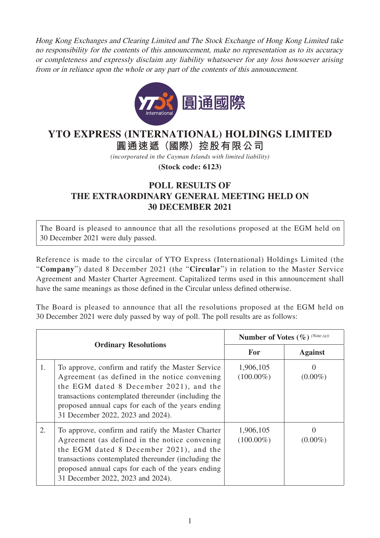Hong Kong Exchanges and Clearing Limited and The Stock Exchange of Hong Kong Limited take no responsibility for the contents of this announcement, make no representation as to its accuracy or completeness and expressly disclaim any liability whatsoever for any loss howsoever arising from or in reliance upon the whole or any part of the contents of this announcement.



## **YTO EXPRESS (INTERNATIONAL) HOLDINGS LIMITED**

**圓通速遞(國際)控股有限公司**

*(incorporated in the Cayman Islands with limited liability)*

**(Stock code: 6123)**

## **POLL RESULTS OF THE EXTRAORDINARY GENERAL MEETING HELD ON 30 DECEMBER 2021**

The Board is pleased to announce that all the resolutions proposed at the EGM held on 30 December 2021 were duly passed.

Reference is made to the circular of YTO Express (International) Holdings Limited (the "**Company**") dated 8 December 2021 (the "**Circular**") in relation to the Master Service Agreement and Master Charter Agreement. Capitalized terms used in this announcement shall have the same meanings as those defined in the Circular unless defined otherwise.

The Board is pleased to announce that all the resolutions proposed at the EGM held on 30 December 2021 were duly passed by way of poll. The poll results are as follows:

| <b>Ordinary Resolutions</b> |                                                                                                                                                                                                                                                                                                 | <b>Number of Votes (<math>\%</math>)</b> (Note (a)) |                                 |
|-----------------------------|-------------------------------------------------------------------------------------------------------------------------------------------------------------------------------------------------------------------------------------------------------------------------------------------------|-----------------------------------------------------|---------------------------------|
|                             |                                                                                                                                                                                                                                                                                                 | <b>For</b>                                          | <b>Against</b>                  |
| 1.                          | To approve, confirm and ratify the Master Service<br>Agreement (as defined in the notice convening)<br>the EGM dated 8 December 2021), and the<br>transactions contemplated thereunder (including the<br>proposed annual caps for each of the years ending<br>31 December 2022, 2023 and 2024). | 1,906,105<br>$(100.00\%)$                           | $\mathbf{\Omega}$<br>$(0.00\%)$ |
| 2.                          | To approve, confirm and ratify the Master Charter<br>Agreement (as defined in the notice convening<br>the EGM dated 8 December 2021), and the<br>transactions contemplated thereunder (including the<br>proposed annual caps for each of the years ending<br>31 December 2022, 2023 and 2024).  | 1,906,105<br>$(100.00\%)$                           | $(0.00\%)$                      |